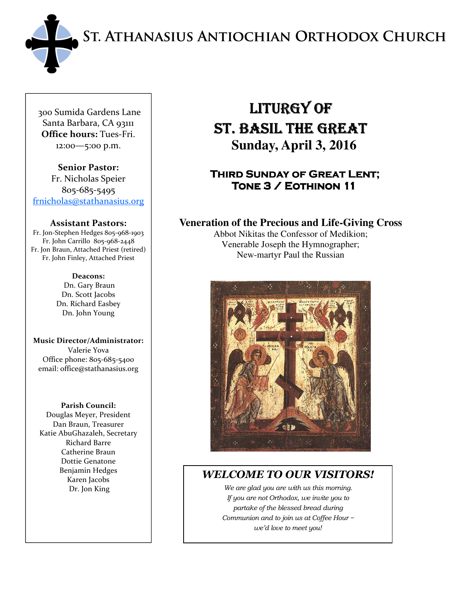ST. ATHANASIUS ANTIOCHIAN ORTHODOX CHURCH



 300 Sumida Gardens Lane Santa Barbara, CA 93111 Office hours: Tues-Fri. 12:00—5:00 p.m.

Senior Pastor: Fr. Nicholas Speier 805-685-5495 frnicholas@stathanasius.org

#### Assistant Pastors:

Fr. Jon-Stephen Hedges 805-968-1903 Fr. John Carrillo 805-968-2448 Fr. Jon Braun, Attached Priest (retired) Fr. John Finley, Attached Priest

> Deacons: Dn. Gary Braun Dn. Scott Jacobs Dn. Richard Easbey Dn. John Young

Music Director/Administrator: Valerie Yova Office phone: 805-685-5400 email: office@stathanasius.org

#### Parish Council:

Douglas Meyer, President Dan Braun, Treasurer Katie AbuGhazaleh, Secretary Richard Barre Catherine Braun Dottie Genatone Benjamin Hedges Karen Jacobs Dr. Jon King

# LITURGY OF ST. BASIL THE GREAT  **Sunday, April 3, 2016**

# THIRD SUNDAY OF GREAT LENT; TONE 3 / EOTHINON 11

## **Veneration of the Precious and Life-Giving Cross**

Abbot Nikitas the Confessor of Medikion; Venerable Joseph the Hymnographer; New-martyr Paul the Russian



# WELCOME TO OUR VISITORS!

We are glad you are with us this morning. If you are not Orthodox, we invite you to partake of the blessed bread during Communion and to join us at Coffee Hour ~ we'd love to meet you!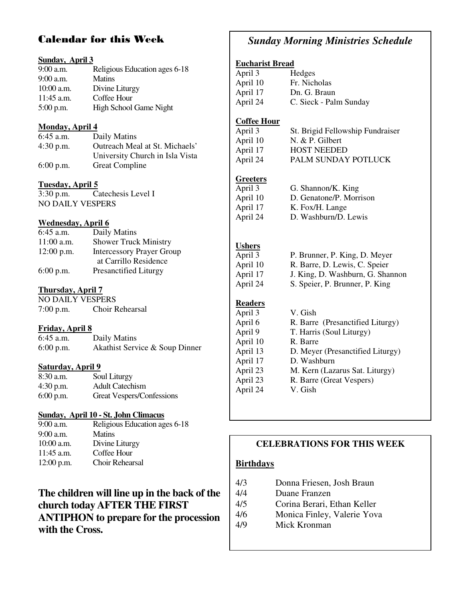# Calendar for this Week

#### **Sunday, April 3**

| $9:00$ a.m.  | Religious Education ages 6-18 |
|--------------|-------------------------------|
| $9:00$ a.m.  | <b>Matins</b>                 |
| $10:00$ a.m. | Divine Liturgy                |
| $11:45$ a.m. | Coffee Hour                   |
| $5:00$ p.m.  | High School Game Night        |

#### **Monday, April 4**

| $6:45$ a.m. | Daily Matins                    |
|-------------|---------------------------------|
| $4:30$ p.m. | Outreach Meal at St. Michaels'  |
|             | University Church in Isla Vista |
| $6:00$ p.m. | <b>Great Compline</b>           |

#### **Tuesday, April 5**

3:30 p.m. Catechesis Level I NO DAILY VESPERS

#### **Wednesday, April 6**

| 6:45 a.m.    | Daily Matins                     |
|--------------|----------------------------------|
| $11:00$ a.m. | <b>Shower Truck Ministry</b>     |
| $12:00$ p.m. | <b>Intercessory Prayer Group</b> |
|              | at Carrillo Residence            |
| $6:00$ p.m.  | <b>Presanctified Liturgy</b>     |

#### **Thursday, April 7**

NO DAILY VESPERS 7:00 p.m. Choir Rehearsal

#### **Friday, April 8**

| 6:45 a.m.   | Daily Matins                   |
|-------------|--------------------------------|
| $6:00$ p.m. | Akathist Service & Soup Dinner |

#### **Saturday, April 9**

| $8:30$ a.m. | Soul Liturgy              |
|-------------|---------------------------|
| $4:30$ p.m. | <b>Adult Catechism</b>    |
| $6:00$ p.m. | Great Vespers/Confessions |

# **Sunday, April 10 - St. John Climacus**<br>9:00 a.m. Religious Education age

Religious Education ages 6-18 9:00 a.m. Matins 10:00 a.m. Divine Liturgy 11:45 a.m. Coffee Hour 12:00 p.m. Choir Rehearsal

# **The children will line up in the back of the church today AFTER THE FIRST ANTIPHON to prepare for the procession with the Cross.**

# *Sunday Morning Ministries Schedule*

#### **Eucharist Bread**

| April 3  | Hedges                 |
|----------|------------------------|
| April 10 | Fr. Nicholas           |
| April 17 | Dn. G. Braun           |
| April 24 | C. Sieck - Palm Sunday |

#### **Coffee Hour**

| April 3  | St. Brigid Fellowship Fundraiser |
|----------|----------------------------------|
| April 10 | N. $& P.$ Gilbert                |
| April 17 | <b>HOST NEEDED</b>               |
| April 24 | PALM SUNDAY POTLUCK              |

#### **Greeters**

| April 3  | G. Shannon/K. King      |
|----------|-------------------------|
| April 10 | D. Genatone/P. Morrison |
| April 17 | K. Fox/H. Lange         |
| April 24 | D. Washburn/D. Lewis    |

# **Ushers**<br>April 3

| April 3  | P. Brunner, P. King, D. Meyer    |
|----------|----------------------------------|
| April 10 | R. Barre, D. Lewis, C. Speier    |
| April 17 | J. King, D. Washburn, G. Shannon |
| April 24 | S. Speier, P. Brunner, P. King   |

# **Readers**

| April 3  | V. Gish                          |
|----------|----------------------------------|
| April 6  | R. Barre (Presanctified Liturgy) |
| April 9  | T. Harris (Soul Liturgy)         |
| April 10 | R. Barre                         |
| April 13 | D. Meyer (Presanctified Liturgy) |
| April 17 | D. Washburn                      |
| April 23 | M. Kern (Lazarus Sat. Liturgy)   |
| April 23 | R. Barre (Great Vespers)         |
| April 24 | V. Gish                          |
|          |                                  |

#### **CELEBRATIONS FOR THIS WEEK**

#### **Birthdays**

|  | Donna Friesen, Josh Braun | 4/3 |
|--|---------------------------|-----|
|--|---------------------------|-----|

- 4/4 Duane Franzen
- 4/5 Corina Berari, Ethan Keller
- 4/6 Monica Finley, Valerie Yova
- 4/9 Mick Kronman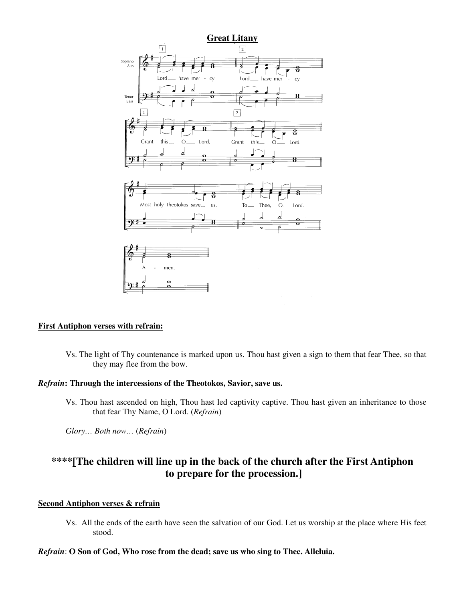

#### **First Antiphon verses with refrain:**

Vs. The light of Thy countenance is marked upon us. Thou hast given a sign to them that fear Thee, so that they may flee from the bow.

#### *Refrain***: Through the intercessions of the Theotokos, Savior, save us.**

Vs. Thou hast ascended on high, Thou hast led captivity captive. Thou hast given an inheritance to those that fear Thy Name, O Lord. (*Refrain*)

 *Glory… Both now…* (*Refrain*)

# **\*\*\*\*[The children will line up in the back of the church after the First Antiphon to prepare for the procession.]**

#### **Second Antiphon verses & refrain**

Vs. All the ends of the earth have seen the salvation of our God. Let us worship at the place where His feet stood.

#### *Refrain*: **O Son of God, Who rose from the dead; save us who sing to Thee. Alleluia.**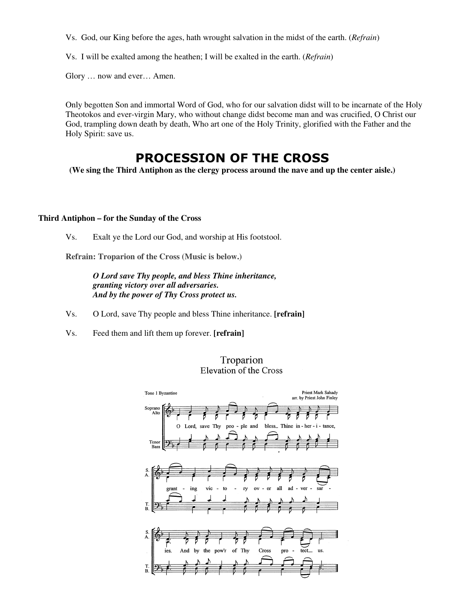Vs. God, our King before the ages, hath wrought salvation in the midst of the earth. (*Refrain*)

Vs. I will be exalted among the heathen; I will be exalted in the earth. (*Refrain*)

Glory … now and ever… Amen.

Only begotten Son and immortal Word of God, who for our salvation didst will to be incarnate of the Holy Theotokos and ever-virgin Mary, who without change didst become man and was crucified, O Christ our God, trampling down death by death, Who art one of the Holy Trinity, glorified with the Father and the Holy Spirit: save us.

# PROCESSION OF THE CROSS

**(We sing the Third Antiphon as the clergy process around the nave and up the center aisle.)** 

#### **Third Antiphon – for the Sunday of the Cross**

Vs. Exalt ye the Lord our God, and worship at His footstool.

 **Refrain: Troparion of the Cross (Music is below.)** 

*O Lord save Thy people, and bless Thine inheritance, granting victory over all adversaries. And by the power of Thy Cross protect us.* 

Vs. O Lord, save Thy people and bless Thine inheritance. **[refrain]**

Vs. Feed them and lift them up forever. **[refrain]** 

#### Troparion Elevation of the Cross

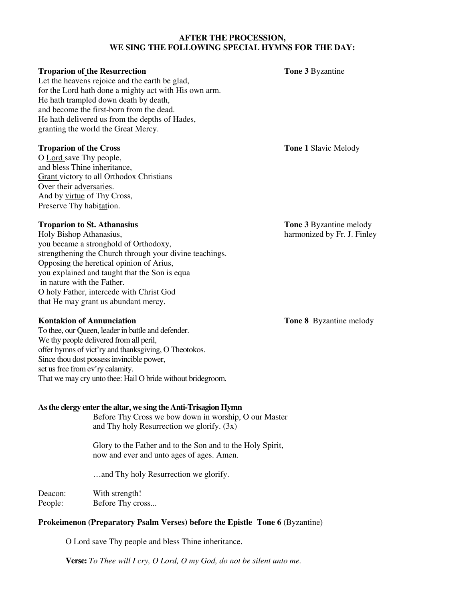#### **AFTER THE PROCESSION, WE SING THE FOLLOWING SPECIAL HYMNS FOR THE DAY:**

#### **Troparion of the Resurrection** Tone 3 Byzantine

Let the heavens rejoice and the earth be glad, for the Lord hath done a mighty act with His own arm. He hath trampled down death by death, and become the first-born from the dead. He hath delivered us from the depths of Hades, granting the world the Great Mercy.

#### **Troparion of the Cross Service School Slavic Melody Tone 1 Slavic Melody**

O Lord save Thy people, and bless Thine inheritance, Grant victory to all Orthodox Christians Over their adversaries. And by virtue of Thy Cross, Preserve Thy habitation.

#### **Troparion to St. Athanasius** Tone 3 Byzantine melody

Holy Bishop Athanasius,harmonized by Fr. J. Finley you became a stronghold of Orthodoxy, strengthening the Church through your divine teachings. Opposing the heretical opinion of Arius, you explained and taught that the Son is equa in nature with the Father. O holy Father, intercede with Christ God that He may grant us abundant mercy.

#### **Kontakion of Annunciation Tone 8** Byzantine melody

To thee, our Queen, leader in battle and defender. We thy people delivered from all peril, offer hymns of vict'ry and thanksgiving, O Theotokos. Since thou dost possess invincible power, set us free from ev'ry calamity. That we may cry unto thee: Hail O bride without bridegroom.

#### **As the clergy enter the altar, we sing the Anti-Trisagion Hymn**

Before Thy Cross we bow down in worship, O our Master and Thy holy Resurrection we glorify. (3x)

Glory to the Father and to the Son and to the Holy Spirit, now and ever and unto ages of ages. Amen.

…and Thy holy Resurrection we glorify.

Deacon: With strength! People: Before Thy cross...

#### **Prokeimenon (Preparatory Psalm Verses) before the Epistle Tone 6** (Byzantine)

O Lord save Thy people and bless Thine inheritance.

**Verse:** *To Thee will I cry, O Lord, O my God, do not be silent unto me.*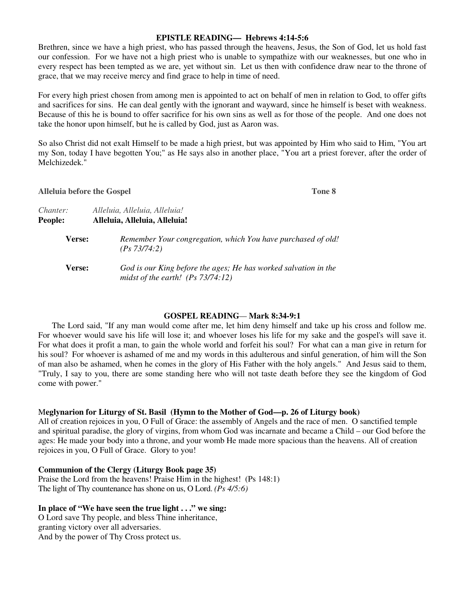#### **EPISTLE READING— Hebrews 4:14-5:6**

Brethren, since we have a high priest, who has passed through the heavens, Jesus, the Son of God, let us hold fast our confession. For we have not a high priest who is unable to sympathize with our weaknesses, but one who in every respect has been tempted as we are, yet without sin. Let us then with confidence draw near to the throne of grace, that we may receive mercy and find grace to help in time of need.

For every high priest chosen from among men is appointed to act on behalf of men in relation to God, to offer gifts and sacrifices for sins. He can deal gently with the ignorant and wayward, since he himself is beset with weakness. Because of this he is bound to offer sacrifice for his own sins as well as for those of the people. And one does not take the honor upon himself, but he is called by God, just as Aaron was.

So also Christ did not exalt Himself to be made a high priest, but was appointed by Him who said to Him, "You art my Son, today I have begotten You;" as He says also in another place, "You art a priest forever, after the order of Melchizedek."

| <b>Alleluia before the Gospel</b> | Tone 8                                                                                                 |
|-----------------------------------|--------------------------------------------------------------------------------------------------------|
| <i>Chanter:</i><br>People:        | Alleluia, Alleluia, Alleluia!<br>Alleluia, Alleluia, Alleluia!                                         |
| <b>Verse:</b>                     | Remember Your congregation, which You have purchased of old!<br>(Ps 73/74:2)                           |
| <b>Verse:</b>                     | God is our King before the ages; He has worked salvation in the<br>midst of the earth! $(Ps 73/74:12)$ |

#### **GOSPEL READING***—* **Mark 8:34-9:1**

The Lord said, "If any man would come after me, let him deny himself and take up his cross and follow me. For whoever would save his life will lose it; and whoever loses his life for my sake and the gospel's will save it. For what does it profit a man, to gain the whole world and forfeit his soul? For what can a man give in return for his soul? For whoever is ashamed of me and my words in this adulterous and sinful generation, of him will the Son of man also be ashamed, when he comes in the glory of His Father with the holy angels." And Jesus said to them, "Truly, I say to you, there are some standing here who will not taste death before they see the kingdom of God come with power."

#### M**eglynarion for Liturgy of St. Basil (Hymn to the Mother of God—p. 26 of Liturgy book)**

All of creation rejoices in you, O Full of Grace: the assembly of Angels and the race of men. O sanctified temple and spiritual paradise, the glory of virgins, from whom God was incarnate and became a Child – our God before the ages: He made your body into a throne, and your womb He made more spacious than the heavens. All of creation rejoices in you, O Full of Grace. Glory to you!

#### **Communion of the Clergy (Liturgy Book page 35)**

Praise the Lord from the heavens! Praise Him in the highest! (Ps 148:1) The light of Thy countenance has shone on us, O Lord. *(Ps 4/5:6)* 

#### **In place of "We have seen the true light . . ." we sing:**

O Lord save Thy people, and bless Thine inheritance, granting victory over all adversaries. And by the power of Thy Cross protect us.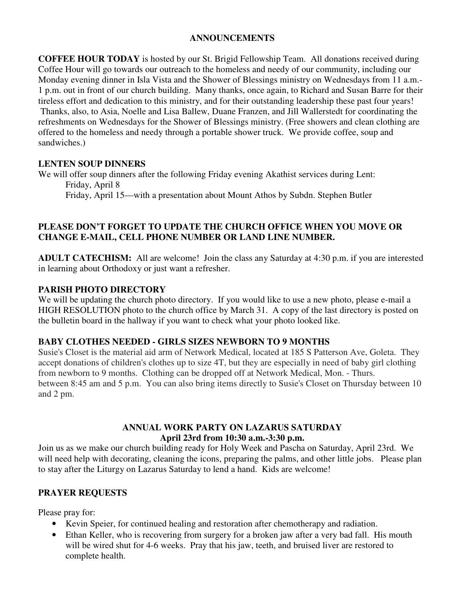## **ANNOUNCEMENTS**

**COFFEE HOUR TODAY** is hosted by our St. Brigid Fellowship Team. All donations received during Coffee Hour will go towards our outreach to the homeless and needy of our community, including our Monday evening dinner in Isla Vista and the Shower of Blessings ministry on Wednesdays from 11 a.m.- 1 p.m. out in front of our church building. Many thanks, once again, to Richard and Susan Barre for their tireless effort and dedication to this ministry, and for their outstanding leadership these past four years! Thanks, also, to Asia, Noelle and Lisa Ballew, Duane Franzen, and Jill Wallerstedt for coordinating the refreshments on Wednesdays for the Shower of Blessings ministry. (Free showers and clean clothing are offered to the homeless and needy through a portable shower truck. We provide coffee, soup and sandwiches.)

## **LENTEN SOUP DINNERS**

We will offer soup dinners after the following Friday evening Akathist services during Lent: Friday, April 8

Friday, April 15—with a presentation about Mount Athos by Subdn. Stephen Butler

#### **PLEASE DON'T FORGET TO UPDATE THE CHURCH OFFICE WHEN YOU MOVE OR CHANGE E-MAIL, CELL PHONE NUMBER OR LAND LINE NUMBER.**

**ADULT CATECHISM:** All are welcome! Join the class any Saturday at 4:30 p.m. if you are interested in learning about Orthodoxy or just want a refresher.

### **PARISH PHOTO DIRECTORY**

We will be updating the church photo directory. If you would like to use a new photo, please e-mail a HIGH RESOLUTION photo to the church office by March 31. A copy of the last directory is posted on the bulletin board in the hallway if you want to check what your photo looked like.

### **BABY CLOTHES NEEDED - GIRLS SIZES NEWBORN TO 9 MONTHS**

Susie's Closet is the material aid arm of Network Medical, located at 185 S Patterson Ave, Goleta. They accept donations of children's clothes up to size 4T, but they are especially in need of baby girl clothing from newborn to 9 months. Clothing can be dropped off at Network Medical, Mon. - Thurs. between 8:45 am and 5 p.m. You can also bring items directly to Susie's Closet on Thursday between 10 and 2 pm.

#### **ANNUAL WORK PARTY ON LAZARUS SATURDAY April 23rd from 10:30 a.m.-3:30 p.m.**

Join us as we make our church building ready for Holy Week and Pascha on Saturday, April 23rd. We will need help with decorating, cleaning the icons, preparing the palms, and other little jobs. Please plan to stay after the Liturgy on Lazarus Saturday to lend a hand. Kids are welcome!

# **PRAYER REQUESTS**

Please pray for:

- Kevin Speier, for continued healing and restoration after chemotherapy and radiation.
- Ethan Keller, who is recovering from surgery for a broken jaw after a very bad fall. His mouth will be wired shut for 4-6 weeks. Pray that his jaw, teeth, and bruised liver are restored to complete health.